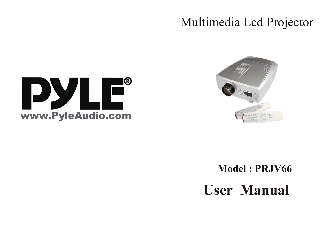# Multimedia Lcd Projector





**Model : PRJV66**

**User Manual**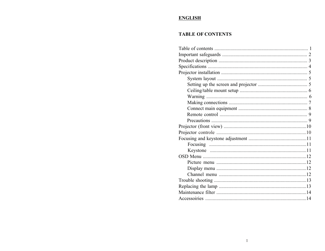#### **ENGLISH**

#### **TABLE OF CONTENTS**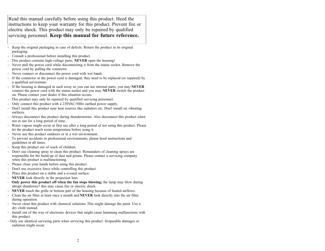Read this manual carefully before using this product. Heed the instructions to keep your warranty for this product. Prevent fire or electric shock. This product may only be repaired by qualified servicing personnel. **Keep this manual for future reference.**

- Keep the original packaging in case of defects. Return the product in its original packaging.
- Consult a professional before installing this product.
- This product contains high-voltage parts; **NEVER** open the housing!
- Never pull the power cord while disconnecting it from the mains socket. Remove the power cord by pulling the connector.
- Never connect or disconnect the power cord with wet hands.
- If the connector or the power cord is damaged; they need to be replaced (or repaired) by a qualified serviceman.
- If the housing is damaged in such away so you can see internal parts, you may **NEVER**  connect the power cord with the mains socket and you may **NEVER** switch the product on. Please contact your dealer if this situation occurs.
- This product may only be repaired by qualified servicing personnel.
- Only connect this product with a 230VAC/50Hz earthed power supply.
- Don't install this product near heat sources like radiators etc. Don't install on vibrating surfaces.
- Always disconnect this product during thunderstorms. Also disconnect this product when not in use for a long period of time.
- Water vapour might occur at first use after a long period of not using this product. Please let the product reach room temperature before using it.
- Never use this product outdoors or in a wet environment.
- To prevent accidents in professional environments; please heed instructions and guidelines at all times.
- Keep this product out of reach of children.
- Don't use cleaning spray to clean this product. Remainders of cleaning sprays are responsible for the build-up of dust and grease. Please contact a servicing company when this product is malfunctioning.
- Please clean your hands before using this product.
- Don't use excessive force while controlling this product.
- Place this product on a stable and a evened surface.
- **NEVER** look directly in the projection lens.
- **Only power this product off when the fan stops blowing;** the lamp may blow during abrupt shutdowns? this may cause fire or electric shock.
- **NEVER** touch the grille or bottom part of the housing because of heated airflows.
- Clean the air filter at least once a month and **NEVER** look directly into the air filter during operation.
- Never clean this product with chemical solutions. This might damage the paint. Use a dry cloth instead.
- Install out of the way of electronic devices that might cause humming malfunctions with this product.
- Only use identical servicing parts when servicing this product. Irreparable damages or radiation might occur.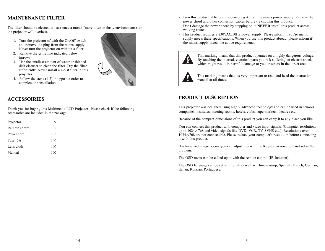#### **MAINTENANCE FILTER**

The filter should be cleaned at least once a month (more often in dusty environments), or the projector will overheat.

- 1. Turn the projector of with the On/Off switch and remove the plug from the mains supply. Never turn the projector on without a filter.
- 2. Remove the grille like indicated below (arrows).
- 3. Use the smallest amount of water or thinned dish cleanser to clean the filter. Dry the filter sufficiently. Never install a moist filter in this projector.
- 4. Follow the steps (1-2) in opposite order to complete the installation.



#### **ACCESSOIRIES**

Thank you for buying this Multimedia LCD Projector! Please check if the following accessories are included in the package:

| Projector      | $1\times$ |
|----------------|-----------|
| Remote control | $1\times$ |
| Power cord     | $1\times$ |
| Fuse (5A)      | $1\times$ |
| Lens cloth     | $1\times$ |
| Manual         | $1\times$ |
|                |           |

- Turn this product of before disconnecting it from the mains power supply. Remove the power chord and other connection cables before (re)moving this product.
- Don't damage the power chord by stepping on it. **NEVER** install this product across walking routes.
- This product requires a 230VAC/50Hz power supply. Please inform if you're mains supply meets these specifications. When you use this product abroad, please inform if the mains supply meets the above requirements.



This marking means that this product operates on a highly dangerous voltage. By touching the internal, electrical parts you risk suffering an electric shock which might result in harmful damage to you or others in the direct area.



This marking means that it's very important to read and heed the instruction manual at all times.

#### **PRODUCT DESCRIPTION**

This projector was designed using highly advanced technology and can be used in schools, companies, institutes, meeting rooms, hotels, clubs, supermarkets, theatres etc.

Because of the compact dimensions of this product you can carry it to any place you like.

You can connect this product with computer and video input signals. (Computer resolutions up to  $1024 \times 768$  and video signals like DVD, VCR, TV, SVHS etc.). Resolutions over  $1024 \times 768$  are not connectable. Please reduce your computer's resolution before connecting it with this product.

If a trapezoid image occurs you can adjust this with the Keystone-correction and solve the problem.

The OSD menu can be called upon with the remote control (IR function).

The OSD language can be set to English as well as Chinese-simp, Spanish, French, German, Italian, Russian, Portuguese.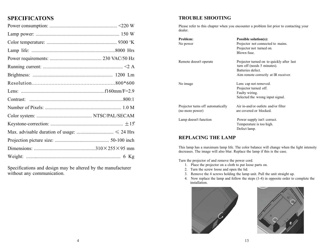### **SPECIFICATONS**

Specifications and design may be altered by the manufacturer without any communication.

#### **TROUBLE SHOOTING**

Please refer to this chapter when you encounter a problem list prior to contacting your dealer.

| Problem:<br>No power                                 | <b>Possible solution(s):</b><br>Projector not connected to mains.<br>Projector not turned on.<br>Blown fuse.                          |
|------------------------------------------------------|---------------------------------------------------------------------------------------------------------------------------------------|
| Remote doesn't operate                               | Projector turned on to quickly after last<br>turn off (needs 5 minutes).<br>Batteries defect.<br>Aim remote correctly at IR receiver. |
| No image                                             | Lens cap not removed.<br>Projector turned off.<br>Faulty wiring.<br>Selected the wrong input signal.                                  |
| Projector turns off automatically<br>(no more power) | Air in-and/or outlets and/or filter<br>are covered or blocked.                                                                        |
| Lamp doesn't function                                | Power supply isn't correct.<br>Temperature is too high.<br>Defect lamp.                                                               |

#### **REPLACING THE LAMP**

This lamp has a maximum lamp life. The color balance will change when the light intensity decreases. The image will also blur. Replace the lamp if this is the case.

Turn the projector of and remove the power cord.

- 1. Place the projector on a cloth to put loose parts on.
- 2. Turn the screw loose and open the lid.
- 3. Remove the 4 screws holding the lamp unit. Pull the unit straight up.
- 4. Now replace the lamp and follow the steps (1-4) in opposite order to complete the installation.



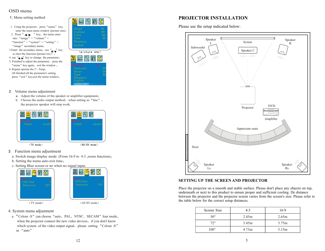#### OSD menu

- 1, Menu setting method
- 1. Using the projector, press "menu" key, enter the main menu window (picture one) 2. Press " $\blacktriangleleft$  / $\blacktriangleright$  " key, the menu enter
- into "image"  $>$  "volume"  $>$ " function"  $>$  " system"  $>$  " setting"  $>$ "image" secondary menu;
- 3. Enter the secondary menu, use  $\sqrt{\frac{u}{\sqrt{2}}}$  key to elect the function (picture two  $\overline{)}$ ;
- 4. use  $\mathbb{Z}/\mathbb{Z}$  key to change the parameter, 5. Finished to adjust the parameter, press the "menu" key again, exit the window  $:$ 6. Repeat operate the  $2 \sim 5$ step,
- till finished all the parameter's setting. press "exit" key, exit the menu window,



- Volume menu adjustment
	- Adjust the volume of the speaker or amplifier equipment
	- b. Choose the audio output method, when setting as "line", the projector speaker will stop work.







- Function menu adjustment
	- a. Switch image display mode (From 16:9 to 4:3 ,zoom function)
	- b. Setting the menu auto-exit time
	- c. Setting Blue screen or no when no signal input.





AV/SV mode

- 4. System menu adjustment
- a. "Colour -S" can choose "auto, PAL, NTSC, SECAM" four mode when the projector connect the new video devices, if you don't know which system of the video output signal, please setting "Colour -S" as "auto"

#### **PROJECTOR INSTALLATION**

Please use the setup indicated below:



#### **SETTING UP THE SCREEN AND PROJECTOR**

Place the projector on a smooth and stable surface. Please don't place any objects on top, underneath or next to this product to ensure proper and sufficient cooling. De distance between the projector and the projector screen varies from the screen's size. Please refer to the table below for the correct setup distances.

| Screen Size | 4:3   | 16:9  |
|-------------|-------|-------|
| 50"         | 2.45m | 2.65m |
| 72"         | 3.45m | 3.75m |
| 100"        | 4.73m | 5.15m |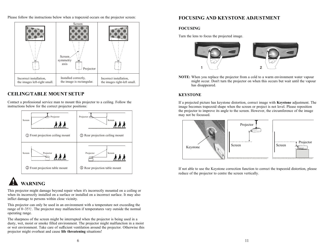Please follow the instructions below when a trapezoid occurs on the projector screen:



#### **CEILING/TABLE MOUNT SETUP**

Contact a professional service man to mount this projector to a ceiling. Follow the instructions below for the correct projector positions:



## **WARNING**

This projector might damage beyond repair when it's incorrectly mounted on a ceiling or when its incorrectly installed on a surface or installed on a incorrect surface. It may also inflict damage to persons within close vicinity.

This projector can only be used in an environment with a temperature not exceeding the range of  $0 \sim 35$ °C. The projector may malfunction if temperatures vary outside the normal operating range.

The sharpness of the screen might be interrupted when the projector is being used in a dusty, wet, moist or smoke filled environment. The projector might malfunction in a moist or wet environment. Take care of sufficient ventilation around the projector. Otherwise this projector might overheat and cause **life threatening** situations!

#### **FOCUSING AND KEYSTONE ADJUSTMENT**

#### **FOCUSING**

Turn the lens to focus the projected image.



**NOTE:** When you replace the projector from a cold to a warm environment water vapour might occur. Don't turn the projector on when this occurs but wait until the vapour has disappeared.

#### **KEYSTONE**

If a projected picture has keystone distortion, correct image with **Keystone** adjustment. The image becomes trapezoid shape when the screen or project is not level. Please reposition the projector to improve its angle to the screen. However, the circumference of the image may not be focussed.



If not able to use the Keystone correction function to correct the trapezoid distortion, please reduce of the projector to centre the screen vertically.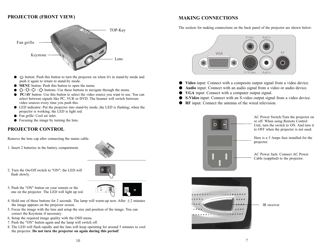#### **PROJECTOR (FRONT VIEW)**



- button: Push this button to turn the projector on when it's in stand-by mode and push it again to return to stand-by mode.
- **MENU** button: Push this button to open the menu.
- $\bullet$   $\hat{ }$  /  $\hat{ }$  /  $\hat{ }$  /  $\stackrel{\rightarrow}{ }$  buttons: Use these buttons to navigate through the menu.
- **PC/AV** button: Use this button to select the video source you want to use. You can select between signals like PC, VCR or DVD. The beamer will switch between video sources every time you push this.
- LED indicator: Put the projector into stand-by mode ,the LED is flashing; when the projector is working, the LED is light red.
- Fan grille: Cool air inlet.
- Focusing the image by turning the lens.

#### **PROJECTOR CONTROL**

Remove the lens cap after connecting the mains cable.

1. Insert 2 batteries in the battery compartment.



- 2. Turn the On/Off switch to "ON"; the LED will flash slowly.
- 3. Push the "ON" button on your remote or the one on the projector. The LED will light up red.
- 4. Hold one of these buttons for 2 seconds. The lamp will warm-up now. After  $\pm 2$  minutes the image appears on the projector screen.
- 5. Focus the image with the lens and setup the size and position of the image. You can correct the Keystone if necessary.
- 6. Setup the required image quality with the OSD menu.
- 7. Push the "ON" button again and the lamp will switch off.
- 8. The LED will flash rapidly and the fans will keep operating for around 5 minutes to cool the projector. **Do not turn the projector on again during this period!**

#### **MAKING CONNECTIONS**

The sockets for making connections on the back panel of the projector are shown below:



- **Video** input: Connect with a composite output signal from a video device.
- **Audio** input: Connect with an audio signal from a video or audio device.
- **VGA** input: Connect with a computer output signal.
- **S-Video** input: Connect with an S-video output signal from a video device.
- **RF** input: Connect the antenna of the wired television.



AC Power Switch:Turn the projector on or off. When using Remote Control Unit, turn the switch to ON. And turn it to OFF when the projector is not used.

Here is a 5 Amps fuse installed for the projector.

AC Power Jack: Connect AC Power Cable (supplied) to the projector.